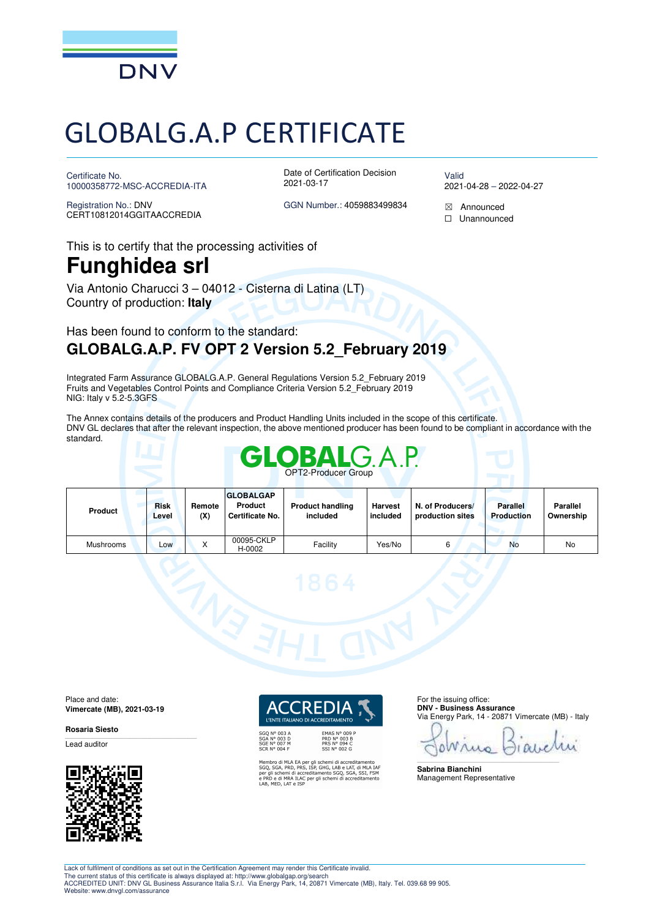

# GLOBALG.A.P CERTIFICATE

Certificate No. 10000358772-MSC-ACCREDIA-ITA

Registration No.: DNV CERT10812014GGITAACCREDIA Date of Certification Decision 2021-03-17

Valid 2021-04-28 – 2022-04-27

This is to certify that the processing activities of

# **Funghidea srl**

Via Antonio Charucci 3 – 04012 - Cisterna di Latina (LT) Country of production: **Italy**

## Has been found to conform to the standard: **GLOBALG.A.P. FV OPT 2 Version 5.2\_February 2019**

Integrated Farm Assurance GLOBALG.A.P. General Regulations Version 5.2\_February 2019 Fruits and Vegetables Control Points and Compliance Criteria Version 5.2\_February 2019 NIG: Italy v 5.2-5.3GFS

The Annex contains details of the producers and Product Handling Units included in the scope of this certificate. DNV GL declares that after the relevant inspection, the above mentioned producer has been found to be compliant in accordance with the standard.



| Product          | <b>Risk</b><br>∟evel | Remote<br>(X) | <b>GLOBALGAP</b><br>Product<br><b>Certificate No.</b> | <b>Product handling</b><br>included | <b>Harvest</b><br><b>l</b> included | N. of Producers/<br>production sites | <b>Parallel</b><br><b>Production</b> | <b>Parallel</b><br>Ownership |
|------------------|----------------------|---------------|-------------------------------------------------------|-------------------------------------|-------------------------------------|--------------------------------------|--------------------------------------|------------------------------|
| <b>Mushrooms</b> | $-OW$                |               | 00095-CKLP<br>H-0002                                  | Facility                            | Yes/No                              | 6                                    | No                                   | No                           |



**Vimercate (MB), 2021-03-19** 

#### **Rosaria Siesto**

Lead auditor



**EMAS Nº 009 P** PRD N° 003 B<br>PRS N° 094 C<br>SSI N° 002 G

Membro di MLA EA per gli schemi di accreditamento<br>SGQ, SGA, PRD, PRS, ISP, GHG, LAB e LAT, di MLA IAF<br>per gli schemi di accreditamento SGQ, SGA, SSI, FSM<br>e PRD e di MRA ILAC per gli schemi di accreditamento<br>LAB, MED, LAT e

For the issuing office: **DNV - Business Assurance**  Via Energy Park, 14 - 20871 Vimercate (MB) - Italy

ow  $10d$ \_\_\_\_\_\_\_\_\_\_\_\_\_\_\_\_\_\_\_\_\_\_\_\_\_\_\_\_\_\_\_\_\_\_\_\_\_\_\_\_\_\_\_\_\_\_\_\_\_\_\_\_\_\_\_\_\_\_\_\_\_\_\_\_\_\_\_\_\_\_\_\_\_\_\_\_\_\_

**Sabrina Bianchini**  Management Representative

GGN Number.: 4059883499834  $\boxtimes$  Announced

☐ Unannounced

Lack of fulfilment of conditions as set out in the Certification Agreement may render this Certificate invalid. The current status of this certificate is always displayed at: http://www.globalgap.org/search ACCREDITED UNIT: DNV GL Business Assurance Italia S.r.l. Via Energy Park, 14, 20871 Vimercate (MB), Italy. Tel. 039.68 99 905. Website: www.dnvgl.com/assurance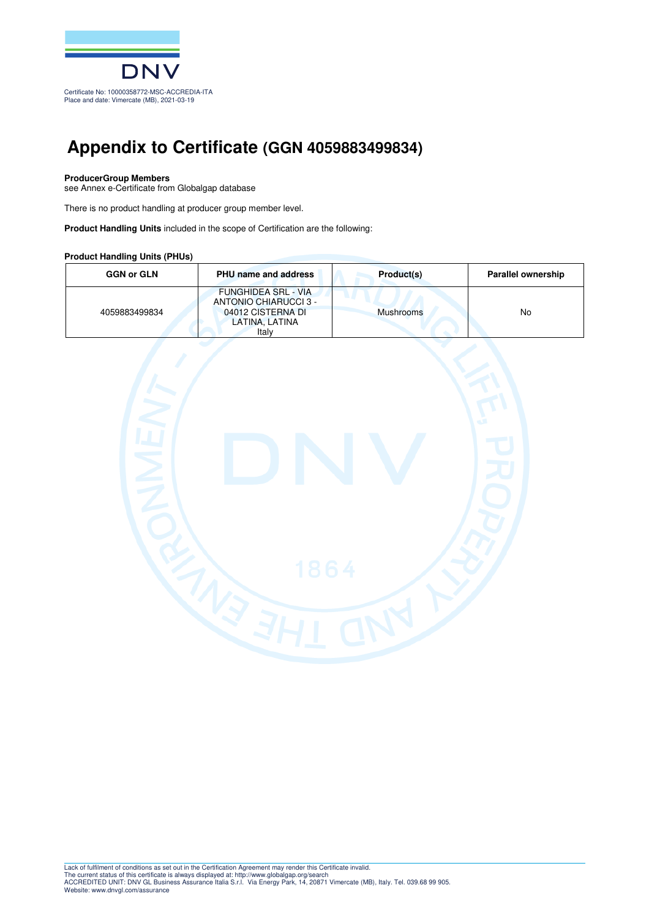

## **Appendix to Certificate (GGN 4059883499834)**

#### **ProducerGroup Members**

see Annex e-Certificate from Globalgap database

There is no product handling at producer group member level.

**Product Handling Units** included in the scope of Certification are the following:

#### **Product Handling Units (PHUs)**

| <b>GGN or GLN</b> | <b>PHU name and address</b>                                                                         | Product(s)       | <b>Parallel ownership</b> |
|-------------------|-----------------------------------------------------------------------------------------------------|------------------|---------------------------|
| 4059883499834     | <b>FUNGHIDEA SRL - VIA</b><br>ANTONIO CHIARUCCI 3 -<br>04012 CISTERNA DI<br>LATINA, LATINA<br>Italv | <b>Mushrooms</b> | No                        |

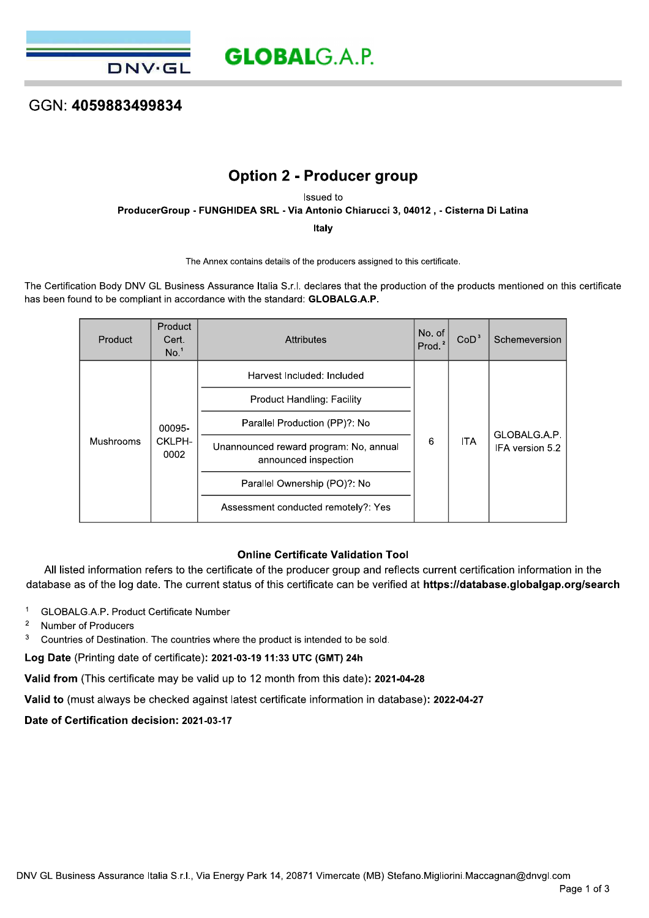## GGN: 4059883499834

**DNV·GL** 

## **Option 2 - Producer group**

Issued to

ProducerGroup - FUNGHIDEA SRL - Via Antonio Chiarucci 3, 04012, - Cisterna Di Latina

Italy

The Annex contains details of the producers assigned to this certificate.

The Certification Body DNV GL Business Assurance Italia S.r.l. declares that the production of the products mentioned on this certificate has been found to be compliant in accordance with the standard: GLOBALG.A.P.

| Product   | Product<br>Cert.<br>No. <sup>1</sup> | Attributes                                                     | No. of<br>Prod. <sup>2</sup> | CoD <sup>3</sup> | Schemeversion   |
|-----------|--------------------------------------|----------------------------------------------------------------|------------------------------|------------------|-----------------|
| Mushrooms | 00095-<br>CKLPH-<br>0002             | Harvest Included: Included                                     |                              |                  |                 |
|           |                                      | Product Handling: Facility                                     |                              |                  | GLOBALG.A.P.    |
|           |                                      | Parallel Production (PP)?: No                                  |                              |                  |                 |
|           |                                      | Unannounced reward program: No, annual<br>announced inspection | 6                            | <b>ITA</b>       | IFA version 5.2 |
|           |                                      | Parallel Ownership (PO)?: No                                   |                              |                  |                 |
|           |                                      | Assessment conducted remotely?: Yes                            |                              |                  |                 |

### **Online Certificate Validation Tool**

All listed information refers to the certificate of the producer group and reflects current certification information in the database as of the log date. The current status of this certificate can be verified at https://database.globalgap.org/search

 $\overline{1}$ GLOBALG.A.P. Product Certificate Number

- $\sqrt{2}$ Number of Producers
- $\overline{3}$ Countries of Destination. The countries where the product is intended to be sold.

Log Date (Printing date of certificate): 2021-03-19 11:33 UTC (GMT) 24h

Valid from (This certificate may be valid up to 12 month from this date): 2021-04-28

Valid to (must always be checked against latest certificate information in database): 2022-04-27

Date of Certification decision: 2021-03-17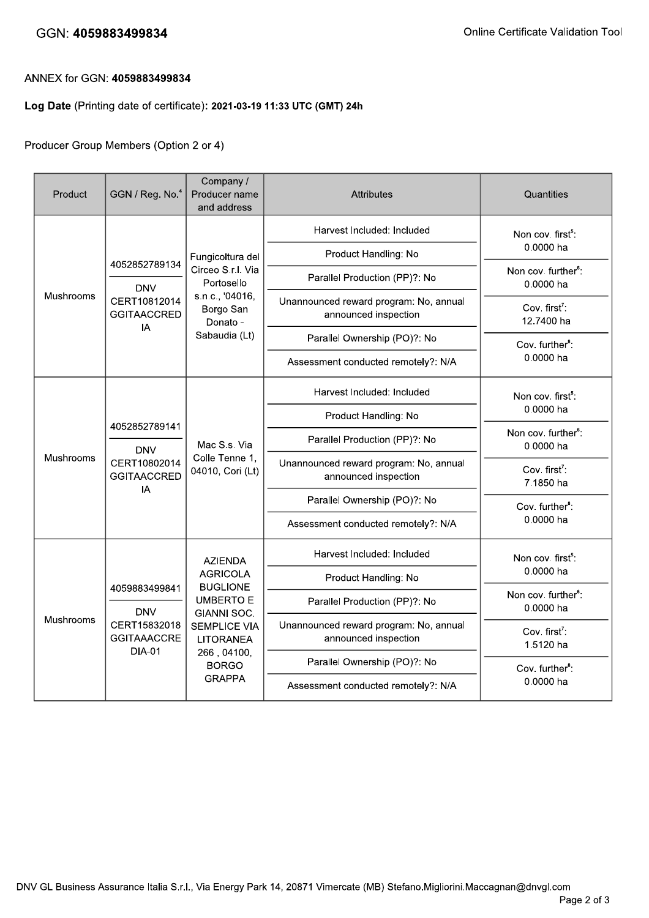## GGN: 4059883499834

## ANNEX for GGN: 4059883499834

## Log Date (Printing date of certificate): 2021-03-19 11:33 UTC (GMT) 24h

## Producer Group Members (Option 2 or 4)

| Product   | GGN / Reg. No. <sup>4</sup>                                                        | Company /<br>Producer name<br>and address                                                                        | <b>Attributes</b>                                              | Quantities                                   |                                     |
|-----------|------------------------------------------------------------------------------------|------------------------------------------------------------------------------------------------------------------|----------------------------------------------------------------|----------------------------------------------|-------------------------------------|
| Mushrooms | 4052852789134<br><b>DNV</b><br>CERT10812014<br><b>GGITAACCRED</b><br>IA            | Fungicoltura del<br>Circeo S.r.l. Via<br>Portosello<br>s.n.c., '04016,<br>Borgo San<br>Donato -<br>Sabaudia (Lt) | Harvest Included: Included                                     | Non cov. first <sup>5</sup> :                |                                     |
|           |                                                                                    |                                                                                                                  | Product Handling: No                                           | 0.0000 ha                                    |                                     |
|           |                                                                                    |                                                                                                                  | Parallel Production (PP)?: No                                  | Non cov. further <sup>6</sup> :<br>0.0000 ha |                                     |
|           |                                                                                    |                                                                                                                  | Unannounced reward program: No, annual<br>announced inspection | Cov. first <sup>7</sup> :<br>12.7400 ha      |                                     |
|           |                                                                                    |                                                                                                                  | Parallel Ownership (PO)?: No                                   | Cov. further <sup>8</sup> :                  |                                     |
|           |                                                                                    |                                                                                                                  | Assessment conducted remotely?: N/A                            | 0.0000 ha                                    |                                     |
|           | 4052852789141<br><b>DNV</b><br>CERT10802014<br><b>GGITAACCRED</b><br>IA            | Mac S.s. Via<br>Colle Tenne 1,<br>04010, Cori (Lt)                                                               | Harvest Included: Included                                     | Non cov. first <sup>5</sup> :                |                                     |
|           |                                                                                    |                                                                                                                  | Product Handling: No                                           | 0.0000 ha                                    |                                     |
| Mushrooms |                                                                                    |                                                                                                                  | Parallel Production (PP)?: No                                  | Non cov. further <sup>6</sup> :<br>0.0000 ha |                                     |
|           |                                                                                    |                                                                                                                  | Unannounced reward program: No, annual<br>announced inspection | Cov. first <sup>7</sup> :<br>7.1850 ha       |                                     |
|           |                                                                                    |                                                                                                                  | Parallel Ownership (PO)?: No                                   | Cov. further <sup>8</sup> :<br>0.0000 ha     |                                     |
|           |                                                                                    |                                                                                                                  | Assessment conducted remotely?: N/A                            |                                              |                                     |
| Mushrooms | 4059883499841<br><b>DNV</b><br>CERT15832018<br><b>GGITAAACCRE</b><br><b>DIA-01</b> | <b>AZIENDA</b>                                                                                                   | Harvest Included: Included                                     | Non cov. first <sup>5</sup> :                |                                     |
|           |                                                                                    |                                                                                                                  | <b>AGRICOLA</b><br><b>BUGLIONE</b>                             | Product Handling: No                         | 0.0000 ha                           |
|           |                                                                                    | <b>UMBERTO E</b><br>GIANNI SOC.<br><b>SEMPLICE VIA</b><br><b>LITORANEA</b><br>266, 04100,<br><b>BORGO</b>        | Parallel Production (PP)?: No                                  | Non cov. further <sup>6</sup> :<br>0.0000 ha |                                     |
|           |                                                                                    |                                                                                                                  | Unannounced reward program: No, annual<br>announced inspection | Cov. first <sup>7</sup> :<br>1.5120 ha       |                                     |
|           |                                                                                    |                                                                                                                  | Parallel Ownership (PO)?: No                                   | Cov. further <sup>8</sup> :                  |                                     |
|           |                                                                                    |                                                                                                                  | <b>GRAPPA</b>                                                  |                                              | Assessment conducted remotely?: N/A |